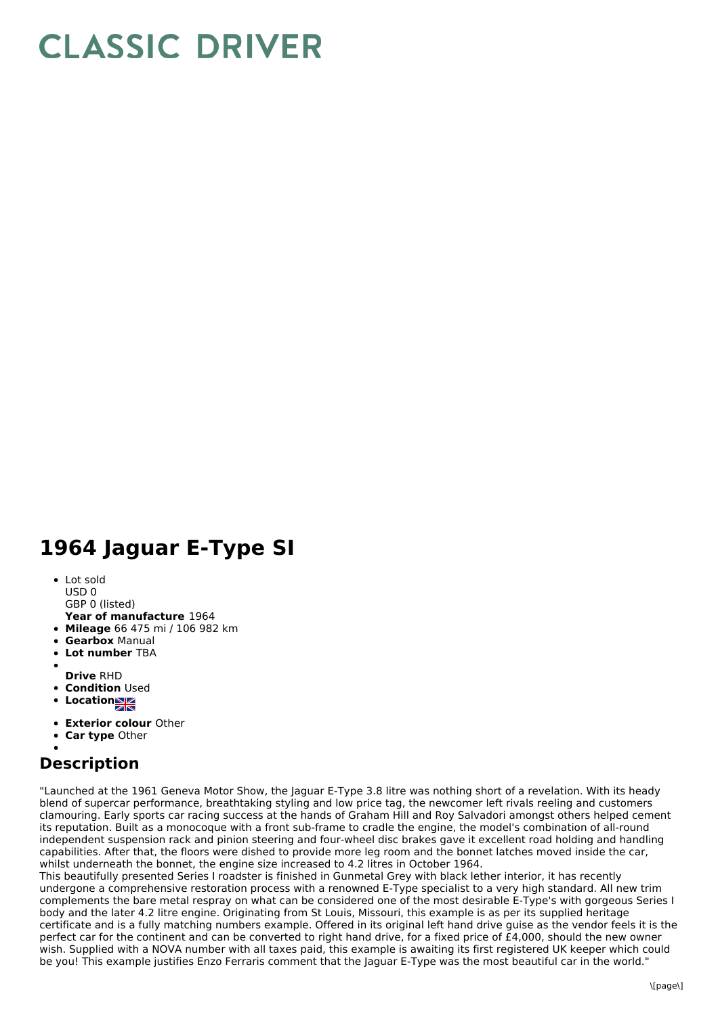## **CLASSIC DRIVER**

## **1964 Jaguar E-Type SI**

- Lot sold USD 0
- GBP 0 (listed)
- **Year of manufacture** 1964
- **Mileage** 66 475 mi / 106 982 km
- **Gearbox** Manual
- **Lot number** TBA
- 
- **Drive** RHD
- **Condition Used**
- **Locations**
- **Exterior colour** Other
- **Car type** Other

## **Description**

"Launched at the 1961 Geneva Motor Show, the Jaguar E-Type 3.8 litre was nothing short of a revelation. With its heady blend of supercar performance, breathtaking styling and low price tag, the newcomer left rivals reeling and customers clamouring. Early sports car racing success at the hands of Graham Hill and Roy Salvadori amongst others helped cement its reputation. Built as a monocoque with a front sub-frame to cradle the engine, the model's combination of all-round independent suspension rack and pinion steering and four-wheel disc brakes gave it excellent road holding and handling capabilities. After that, the floors were dished to provide more leg room and the bonnet latches moved inside the car, whilst underneath the bonnet, the engine size increased to 4.2 litres in October 1964.

This beautifully presented Series I roadster is finished in Gunmetal Grey with black lether interior, it has recently undergone a comprehensive restoration process with a renowned E-Type specialist to a very high standard. All new trim complements the bare metal respray on what can be considered one of the most desirable E-Type's with gorgeous Series I body and the later 4.2 litre engine. Originating from St Louis, Missouri, this example is as per its supplied heritage certificate and is a fully matching numbers example. Offered in its original left hand drive guise as the vendor feels it is the perfect car for the continent and can be converted to right hand drive, for a fixed price of  $£4,000$ , should the new owner wish. Supplied with a NOVA number with all taxes paid, this example is awaiting its first registered UK keeper which could be you! This example justifies Enzo Ferraris comment that the Jaguar E-Type was the most beautiful car in the world."